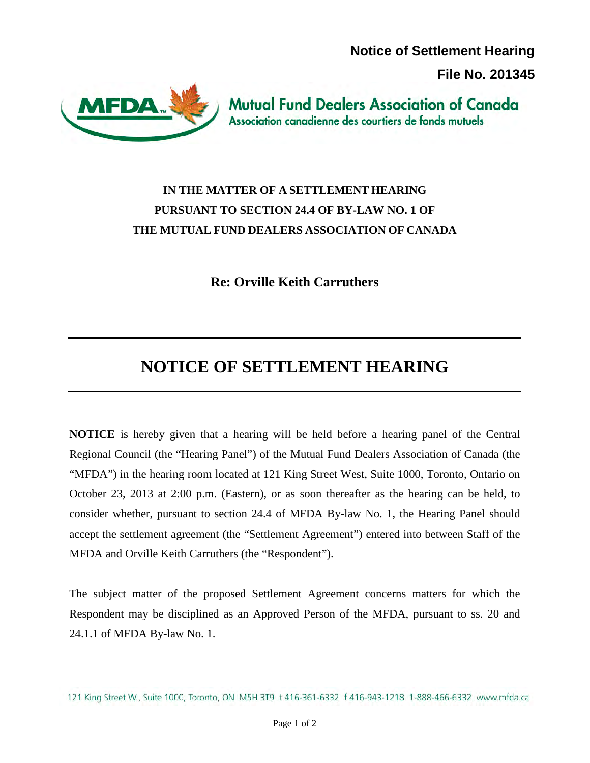**Notice of Settlement Hearing** 

**File No. 201345**



**Mutual Fund Dealers Association of Canada** Association canadienne des courtiers de fonds mutuels

## **IN THE MATTER OF A SETTLEMENT HEARING PURSUANT TO SECTION 24.4 OF BY-LAW NO. 1 OF THE MUTUAL FUND DEALERS ASSOCIATION OF CANADA**

**Re: Orville Keith Carruthers**

## **NOTICE OF SETTLEMENT HEARING**

**NOTICE** is hereby given that a hearing will be held before a hearing panel of the Central Regional Council (the "Hearing Panel") of the Mutual Fund Dealers Association of Canada (the "MFDA") in the hearing room located at 121 King Street West, Suite 1000, Toronto, Ontario on October 23, 2013 at 2:00 p.m. (Eastern), or as soon thereafter as the hearing can be held, to consider whether, pursuant to section 24.4 of MFDA By-law No. 1, the Hearing Panel should accept the settlement agreement (the "Settlement Agreement") entered into between Staff of the MFDA and Orville Keith Carruthers (the "Respondent").

The subject matter of the proposed Settlement Agreement concerns matters for which the Respondent may be disciplined as an Approved Person of the MFDA, pursuant to ss. 20 and 24.1.1 of MFDA By-law No. 1.

121 King Street W., Suite 1000, Toronto, ON M5H 3T9 t 416-361-6332 f 416-943-1218 1-888-466-6332 www.mfda.ca